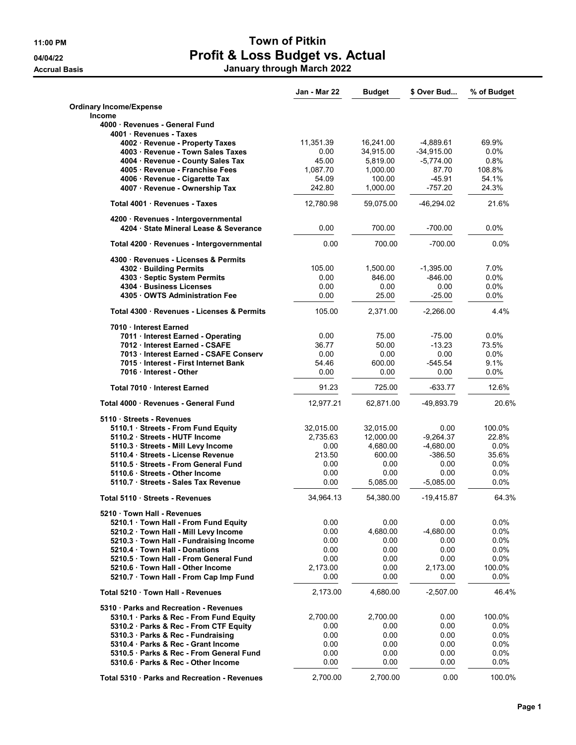## 11:00 PM Town of Pitkin 04/04/22 **Profit & Loss Budget vs. Actual** Accrual Basis January through March 2022

|                                                                               | Jan - Mar 22     | <b>Budget</b> | \$ Over Bud      | % of Budget      |
|-------------------------------------------------------------------------------|------------------|---------------|------------------|------------------|
| <b>Ordinary Income/Expense</b><br><b>Income</b>                               |                  |               |                  |                  |
| 4000 · Revenues - General Fund<br>4001 Revenues - Taxes                       |                  |               |                  |                  |
| 4002 · Revenue - Property Taxes                                               | 11,351.39        | 16,241.00     | -4,889.61        | 69.9%            |
| 4003 Revenue - Town Sales Taxes                                               | 0.00             | 34,915.00     | $-34,915.00$     | 0.0%             |
| 4004 · Revenue - County Sales Tax                                             | 45.00            | 5,819.00      | $-5,774.00$      | 0.8%             |
| 4005 Revenue - Franchise Fees                                                 | 1,087.70         | 1,000.00      | 87.70            | 108.8%           |
| 4006 · Revenue - Cigarette Tax                                                | 54.09            | 100.00        | $-45.91$         | 54.1%            |
| 4007 · Revenue - Ownership Tax                                                | 242.80           | 1,000.00      | $-757.20$        | 24.3%            |
| Total 4001 Revenues - Taxes                                                   | 12,780.98        | 59,075.00     | -46,294.02       | 21.6%            |
| 4200 · Revenues - Intergovernmental<br>4204 · State Mineral Lease & Severance | 0.00             | 700.00        | $-700.00$        | 0.0%             |
| Total 4200 · Revenues - Intergovernmental                                     | 0.00             | 700.00        | $-700.00$        | 0.0%             |
| 4300 · Revenues - Licenses & Permits                                          |                  |               |                  |                  |
| 4302 Building Permits                                                         | 105.00           | 1,500.00      | $-1,395.00$      | 7.0%             |
| 4303 · Septic System Permits                                                  | 0.00             | 846.00        | $-846.00$        | $0.0\%$          |
| 4304 Business Licenses                                                        | 0.00             | 0.00          | 0.00             | 0.0%             |
| 4305 OWTS Administration Fee                                                  | 0.00             | 25.00         | $-25.00$         | 0.0%             |
| Total 4300 · Revenues - Licenses & Permits                                    | 105.00           | 2,371.00      | $-2,266.00$      | 4.4%             |
| 7010 Interest Earned                                                          |                  |               |                  |                  |
| 7011 Interest Earned - Operating                                              | 0.00             | 75.00         | $-75.00$         | 0.0%             |
| 7012 Interest Earned - CSAFE                                                  | 36.77<br>0.00    | 50.00<br>0.00 | $-13.23$<br>0.00 | 73.5%<br>$0.0\%$ |
| 7013 Interest Earned - CSAFE Conserv<br>7015 Interest - First Internet Bank   | 54.46            | 600.00        | -545.54          | 9.1%             |
| 7016 Interest - Other                                                         | 0.00             | 0.00          | 0.00             | 0.0%             |
| Total 7010 Interest Earned                                                    | 91.23            | 725.00        | $-633.77$        | 12.6%            |
| Total 4000 · Revenues - General Fund                                          | 12,977.21        | 62,871.00     | -49,893.79       | 20.6%            |
| 5110 · Streets - Revenues                                                     |                  |               |                  |                  |
| 5110.1 · Streets - From Fund Equity                                           | 32,015.00        | 32,015.00     | 0.00             | 100.0%           |
| 5110.2 Streets - HUTF Income                                                  | 2,735.63         | 12,000.00     | $-9,264.37$      | 22.8%            |
| 5110.3 · Streets - Mill Levy Income                                           | 0.00             | 4,680.00      | $-4,680.00$      | $0.0\%$          |
| 5110.4 Streets - License Revenue                                              | 213.50           | 600.00        | $-386.50$        | 35.6%            |
| 5110.5 Streets - From General Fund                                            | 0.00             | 0.00          | 0.00             | 0.0%             |
| 5110.6 · Streets - Other Income                                               | 0.00             | 0.00          | 0.00             | $0.0\%$          |
| 5110.7 Streets - Sales Tax Revenue                                            | 0.00             | 5.085.00      | $-5,085.00$      | 0.0%             |
| Total 5110 · Streets - Revenues                                               | 34,964.13        | 54,380.00     | $-19,415.87$     | 64.3%            |
| 5210 Town Hall - Revenues                                                     |                  |               |                  |                  |
| 5210.1 Town Hall - From Fund Equity                                           | 0.00             | 0.00          | 0.00             | 0.0%             |
| 5210.2 · Town Hall - Mill Levy Income                                         | 0.00             | 4,680.00      | $-4,680.00$      | 0.0%             |
| 5210.3 · Town Hall - Fundraising Income                                       | 0.00             | 0.00          | 0.00             | 0.0%             |
| 5210.4 Town Hall - Donations                                                  | 0.00             | 0.00          | 0.00             | $0.0\%$          |
| 5210.5 Town Hall - From General Fund<br>5210.6 Town Hall - Other Income       | 0.00<br>2,173.00 | 0.00<br>0.00  | 0.00<br>2,173.00 | 0.0%<br>100.0%   |
| 5210.7 · Town Hall - From Cap Imp Fund                                        | 0.00             | 0.00          | 0.00             | 0.0%             |
| Total 5210 · Town Hall - Revenues                                             | 2,173.00         | 4,680.00      | $-2,507.00$      | 46.4%            |
| 5310 · Parks and Recreation - Revenues                                        |                  |               |                  |                  |
| 5310.1 Parks & Rec - From Fund Equity                                         | 2,700.00         | 2,700.00      | 0.00             | 100.0%           |
| 5310.2 · Parks & Rec - From CTF Equity                                        | 0.00             | 0.00          | 0.00             | $0.0\%$          |
| 5310.3 Parks & Rec - Fundraising                                              | 0.00             | 0.00          | 0.00             | 0.0%             |
| 5310.4 Parks & Rec - Grant Income                                             | 0.00             | 0.00          | 0.00             | $0.0\%$          |
| 5310.5 · Parks & Rec - From General Fund                                      | 0.00             | 0.00          | 0.00             | 0.0%             |
| 5310.6 Parks & Rec - Other Income                                             | 0.00             | 0.00          | 0.00             | 0.0%             |
|                                                                               |                  |               |                  |                  |
| Total 5310 · Parks and Recreation - Revenues                                  | 2,700.00         | 2,700.00      | 0.00             | 100.0%           |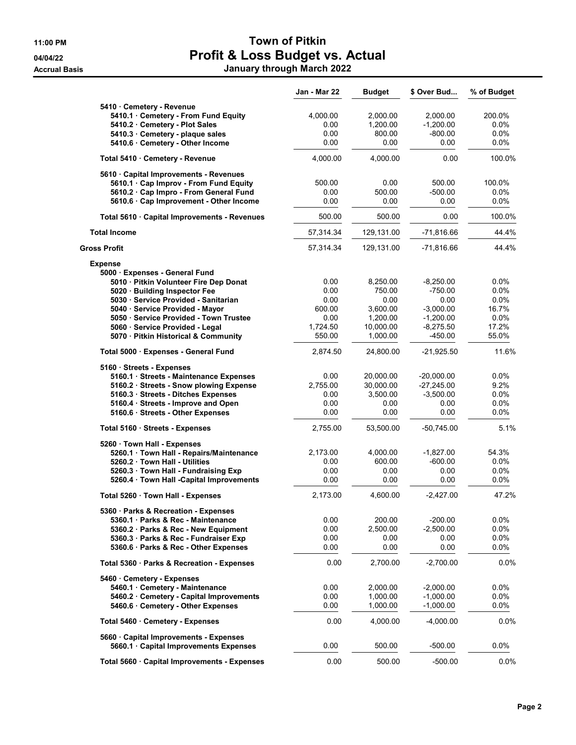## 11:00 PM Town of Pitkin 04/04/22 **Profit & Loss Budget vs. Actual** Accrual Basis January through March 2022

|                                              | Jan - Mar 22 | <b>Budget</b> | \$ Over Bud  | % of Budget |
|----------------------------------------------|--------------|---------------|--------------|-------------|
| 5410 · Cemetery - Revenue                    |              |               |              |             |
| 5410.1 · Cemetery - From Fund Equity         | 4,000.00     | 2,000.00      | 2,000.00     | 200.0%      |
| 5410.2 Cemetery - Plot Sales                 | 0.00         | 1,200.00      | $-1,200.00$  | $0.0\%$     |
| 5410.3 Cemetery - plaque sales               | 0.00         | 800.00        | $-800.00$    | $0.0\%$     |
| 5410.6 · Cemetery - Other Income             | 0.00         | 0.00          | 0.00         | $0.0\%$     |
| Total 5410 Cemetery - Revenue                | 4,000.00     | 4,000.00      | 0.00         | 100.0%      |
| 5610 Capital Improvements - Revenues         |              |               |              |             |
| 5610.1 · Cap Improv - From Fund Equity       | 500.00       | 0.00          | 500.00       | 100.0%      |
| 5610.2 · Cap Impro - From General Fund       | 0.00         | 500.00        | $-500.00$    | $0.0\%$     |
| 5610.6 · Cap Improvement - Other Income      | 0.00         | 0.00          | 0.00         | 0.0%        |
| Total 5610 · Capital Improvements - Revenues | 500.00       | 500.00        | 0.00         | 100.0%      |
| <b>Total Income</b>                          | 57,314.34    | 129,131.00    | $-71,816.66$ | 44.4%       |
| Gross Profit                                 | 57,314.34    | 129,131.00    | $-71,816.66$ | 44.4%       |
| <b>Expense</b>                               |              |               |              |             |
| 5000 · Expenses - General Fund               |              |               |              |             |
| 5010 · Pitkin Volunteer Fire Dep Donat       | 0.00         | 8,250.00      | $-8,250.00$  | 0.0%        |
| 5020 · Building Inspector Fee                | 0.00         | 750.00        | $-750.00$    | 0.0%        |
| 5030 · Service Provided - Sanitarian         | 0.00         | 0.00          | 0.00         | 0.0%        |
| 5040 · Service Provided - Mayor              | 600.00       | 3,600.00      | $-3,000.00$  | 16.7%       |
| 5050 · Service Provided - Town Trustee       | 0.00         | 1,200.00      | $-1,200.00$  | $0.0\%$     |
| 5060 · Service Provided - Legal              | 1.724.50     | 10,000.00     | $-8,275.50$  | 17.2%       |
| 5070 · Pitkin Historical & Community         | 550.00       | 1,000.00      | -450.00      | 55.0%       |
| Total 5000 · Expenses - General Fund         | 2,874.50     | 24,800.00     | $-21,925.50$ | 11.6%       |
| 5160 Streets - Expenses                      |              |               |              |             |
| 5160.1 · Streets - Maintenance Expenses      | 0.00         | 20,000.00     | $-20,000.00$ | 0.0%        |
| 5160.2 · Streets - Snow plowing Expense      | 2,755.00     | 30,000.00     | $-27,245.00$ | 9.2%        |
| 5160.3 Streets - Ditches Expenses            | 0.00         | 3,500.00      | $-3,500.00$  | $0.0\%$     |
| 5160.4 · Streets - Improve and Open          | 0.00         | 0.00          | 0.00         | 0.0%        |
| 5160.6 · Streets - Other Expenses            | 0.00         | 0.00          | 0.00         | 0.0%        |
| Total 5160 · Streets - Expenses              | 2,755.00     | 53,500.00     | $-50,745.00$ | 5.1%        |
| 5260 · Town Hall - Expenses                  |              |               |              |             |
| 5260.1 · Town Hall - Repairs/Maintenance     | 2,173.00     | 4,000.00      | $-1,827.00$  | 54.3%       |
| 5260.2 Town Hall - Utilities                 | 0.00         | 600.00        | $-600.00$    | 0.0%        |
| 5260.3 · Town Hall - Fundraising Exp         | 0.00         | 0.00          | 0.00         | 0.0%        |
| 5260.4 · Town Hall -Capital Improvements     | 0.00         | 0.00          | 0.00         | 0.0%        |
| Total 5260 · Town Hall - Expenses            | 2,173.00     | 4,600.00      | $-2,427.00$  | 47.2%       |
| 5360 · Parks & Recreation - Expenses         |              |               |              |             |
| 5360.1 Parks & Rec - Maintenance             | 0.00         | 200.00        | $-200.00$    | 0.0%        |
| 5360.2 · Parks & Rec - New Equipment         | 0.00         | 2,500.00      | $-2,500.00$  | 0.0%        |
| 5360.3 · Parks & Rec - Fundraiser Exp        | 0.00         | 0.00          | 0.00         | 0.0%        |
| 5360.6 · Parks & Rec - Other Expenses        | 0.00         | 0.00          | 0.00         | 0.0%        |
| Total 5360 · Parks & Recreation - Expenses   | 0.00         | 2,700.00      | $-2,700.00$  | 0.0%        |
| 5460 Cemetery - Expenses                     |              |               |              |             |
| 5460.1 Cemetery - Maintenance                | 0.00         | 2,000.00      | $-2,000.00$  | $0.0\%$     |
| 5460.2 Cemetery - Capital Improvements       | 0.00         | 1.000.00      | $-1,000.00$  | 0.0%        |
| 5460.6 Cemetery - Other Expenses             | 0.00         | 1,000.00      | $-1,000.00$  | 0.0%        |
| Total 5460 · Cemetery - Expenses             | 0.00         | 4,000.00      | $-4,000.00$  | $0.0\%$     |
| 5660 Capital Improvements - Expenses         |              |               |              |             |
| 5660.1 Capital Improvements Expenses         | 0.00         | 500.00        | $-500.00$    | 0.0%        |
| Total 5660 · Capital Improvements - Expenses | 0.00         | 500.00        | $-500.00$    | 0.0%        |